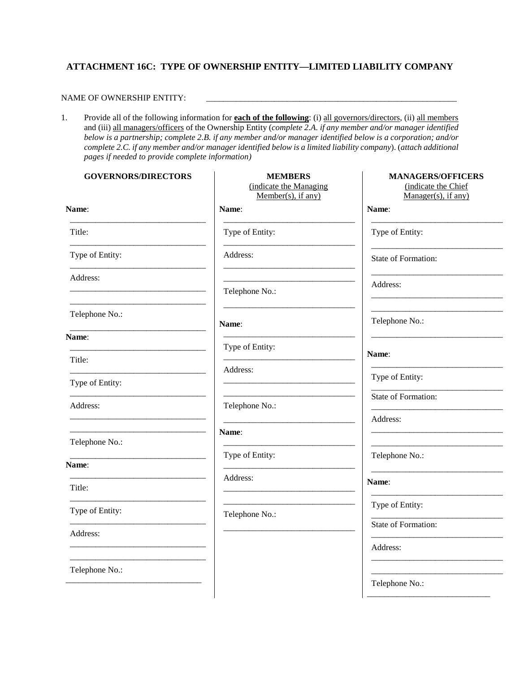# **ATTACHMENT 16C: TYPE OF OWNERSHIP ENTITY—LIMITED LIABILITY COMPANY**

### NAME OF OWNERSHIP ENTITY:

1. Provide all of the following information for **each of the following**: (i) all governors/directors, (ii) all members and (iii) all managers/officers of the Ownership Entity (*complete 2.A. if any member and/or manager identified below is a partnership; complete 2.B. if any member and/or manager identified below is a corporation; and/or complete 2.C. if any member and/or manager identified below is a limited liability company*). (*attach additional pages if needed to provide complete information)*

| <b>GOVERNORS/DIRECTORS</b> | <b>MEMBERS</b><br>(indicate the Managing<br>Member(s), if any) | <b>MANAGERS/OFFICERS</b><br>(indicate the Chief<br>$Manager(s)$ , if any) |
|----------------------------|----------------------------------------------------------------|---------------------------------------------------------------------------|
| Name:                      | Name:                                                          | Name:                                                                     |
| Title:                     | Type of Entity:                                                | Type of Entity:                                                           |
| Type of Entity:            | Address:                                                       | State of Formation:                                                       |
| Address:                   | Telephone No.:                                                 | Address:                                                                  |
| Telephone No.:             | Name:                                                          | Telephone No.:                                                            |
| Name:                      | Type of Entity:                                                |                                                                           |
| Title:                     | Address:                                                       | Name:                                                                     |
| Type of Entity:            |                                                                | Type of Entity:                                                           |
| Address:                   | Telephone No.:                                                 | State of Formation:                                                       |
|                            | Name:                                                          | Address:                                                                  |
| Telephone No.:             |                                                                |                                                                           |
| Name:                      | Type of Entity:                                                | Telephone No.:                                                            |
| Title:                     | Address:                                                       | Name:                                                                     |
| Type of Entity:            | Telephone No.:                                                 | Type of Entity:                                                           |
| Address:                   |                                                                | State of Formation:                                                       |
|                            |                                                                | Address:                                                                  |
| Telephone No.:             |                                                                |                                                                           |
|                            |                                                                | Telephone No.:                                                            |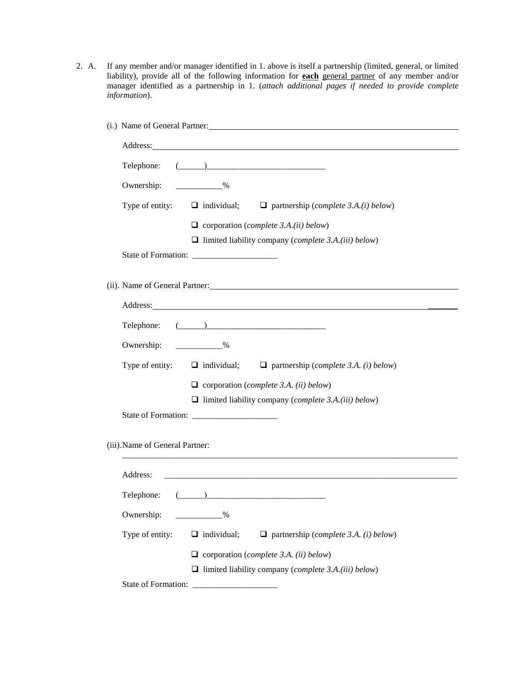2. A. If any member and/or manager identified in 1. above is itself a partnership (limited, general, or limited liability), provide all of the following information for **each** general partner of any member and/or manager identified as a partnership in 1. (*attach additional pages if needed to provide complete information*).

| (i.) Name of General Partner:                                                                                                                                                                                                                                                                                                                                                                                                                                                                          |  |
|--------------------------------------------------------------------------------------------------------------------------------------------------------------------------------------------------------------------------------------------------------------------------------------------------------------------------------------------------------------------------------------------------------------------------------------------------------------------------------------------------------|--|
| Address: No. 2014 19:30 and 20:30 and 20:30 and 20:30 and 20:30 and 20:30 and 20:30 and 20:30 and 20:30 and 20:30 and 20:30 and 20:30 and 20:30 and 20:30 and 20:30 and 20:30 and 20:30 and 20:30 and 20:30 and 20:30 and 20:3                                                                                                                                                                                                                                                                         |  |
| $\begin{picture}(20,10) \put(0,0){\vector(1,0){100}} \put(15,0){\vector(1,0){100}} \put(15,0){\vector(1,0){100}} \put(15,0){\vector(1,0){100}} \put(15,0){\vector(1,0){100}} \put(15,0){\vector(1,0){100}} \put(15,0){\vector(1,0){100}} \put(15,0){\vector(1,0){100}} \put(15,0){\vector(1,0){100}} \put(15,0){\vector(1,0){100}} \put(15,0){\vector(1,0){100}} \$<br>Telephone:                                                                                                                      |  |
| Ownership:<br>$\%$                                                                                                                                                                                                                                                                                                                                                                                                                                                                                     |  |
| Type of entity:<br>$\Box$ individual; $\Box$ partnership ( <i>complete 3.A.(i) below</i> )                                                                                                                                                                                                                                                                                                                                                                                                             |  |
| $\Box$ corporation ( <i>complete 3.A.(ii) below</i> )                                                                                                                                                                                                                                                                                                                                                                                                                                                  |  |
| $\Box$ limited liability company ( <i>complete 3.A.(iii) below</i> )                                                                                                                                                                                                                                                                                                                                                                                                                                   |  |
|                                                                                                                                                                                                                                                                                                                                                                                                                                                                                                        |  |
| (ii). Name of General Partner:                                                                                                                                                                                                                                                                                                                                                                                                                                                                         |  |
|                                                                                                                                                                                                                                                                                                                                                                                                                                                                                                        |  |
| $\begin{tabular}{c} \textbf{Telephone:} \end{tabular} \begin{tabular}{c} \textbf{I} \end{tabular} \begin{tabular}{c} \textbf{I} \end{tabular} \begin{tabular}{c} \textbf{I} \end{tabular} \begin{tabular}{c} \textbf{I} \end{tabular} \begin{tabular}{c} \textbf{I} \end{tabular} \begin{tabular}{c} \textbf{I} \end{tabular} \begin{tabular}{c} \textbf{I} \end{tabular} \begin{tabular}{c} \textbf{I} \end{tabular} \begin{tabular}{c} \textbf{I} \end{tabular} \begin{tabular}{c} \textbf{I} \end{$ |  |
| $\sim$ $\sim$ $\sim$ $\sim$<br>Ownership:                                                                                                                                                                                                                                                                                                                                                                                                                                                              |  |
| Type of entity: $\Box$ individual; $\Box$ partnership (complete 3.A. (i) below)                                                                                                                                                                                                                                                                                                                                                                                                                        |  |
| $\Box$ corporation (complete 3.A. (ii) below)                                                                                                                                                                                                                                                                                                                                                                                                                                                          |  |
| $\Box$ limited liability company ( <i>complete 3.A.(iii) below</i> )                                                                                                                                                                                                                                                                                                                                                                                                                                   |  |
|                                                                                                                                                                                                                                                                                                                                                                                                                                                                                                        |  |
| (iii). Name of General Partner:                                                                                                                                                                                                                                                                                                                                                                                                                                                                        |  |
| Address:<br><u> 1980 - Jan James James Barnett, amerikan basar dan berasal dan berasal dari berasal dan berasal dan berasal d</u>                                                                                                                                                                                                                                                                                                                                                                      |  |
| Telephone:<br>$\begin{picture}(20,10) \put(0,0){\vector(1,0){100}} \put(15,0){\vector(1,0){100}} \put(15,0){\vector(1,0){100}} \put(15,0){\vector(1,0){100}} \put(15,0){\vector(1,0){100}} \put(15,0){\vector(1,0){100}} \put(15,0){\vector(1,0){100}} \put(15,0){\vector(1,0){100}} \put(15,0){\vector(1,0){100}} \put(15,0){\vector(1,0){100}} \put(15,0){\vector(1,0){100}} \$                                                                                                                      |  |
| Ownership:<br>$\sim$ $\frac{\%}{\%}$                                                                                                                                                                                                                                                                                                                                                                                                                                                                   |  |
| Type of entity:<br>$\Box$ individual;<br>$\Box$ partnership (complete 3.A. (i) below)                                                                                                                                                                                                                                                                                                                                                                                                                  |  |
| $\Box$ corporation (complete 3.A. (ii) below)                                                                                                                                                                                                                                                                                                                                                                                                                                                          |  |
| $\Box$ limited liability company ( <i>complete 3.A.(iii) below</i> )                                                                                                                                                                                                                                                                                                                                                                                                                                   |  |
|                                                                                                                                                                                                                                                                                                                                                                                                                                                                                                        |  |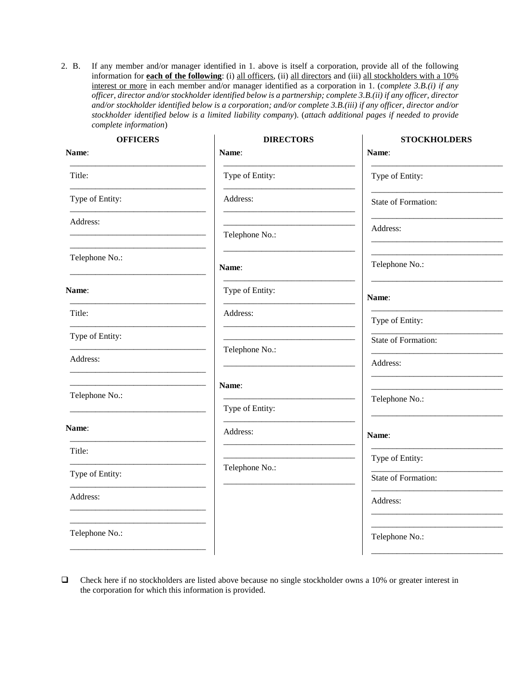2. B. If any member and/or manager identified in 1. above is itself a corporation, provide all of the following information for **each of the following**: (i) all officers, (ii) all directors and (iii) all stockholders with a 10% interest or more in each member and/or manager identified as a corporation in 1. (*complete 3.B.(i) if any officer, director and/or stockholder identified below is a partnership; complete 3.B.(ii) if any officer, director and/or stockholder identified below is a corporation; and/or complete 3.B.(iii) if any officer, director and/or stockholder identified below is a limited liability company*). (*attach additional pages if needed to provide complete information*)

 $\bar{a}$ 

 $\mathbf{r}$ 

| <b>OFFICERS</b> | <b>DIRECTORS</b> | <b>STOCKHOLDERS</b> |
|-----------------|------------------|---------------------|
| Name:           | Name:            | Name:               |
| Title:          | Type of Entity:  | Type of Entity:     |
| Type of Entity: | Address:         | State of Formation: |
| Address:        |                  | Address:            |
|                 | Telephone No.:   |                     |
| Telephone No.:  | Name:            | Telephone No.:      |
| Name:           | Type of Entity:  | Name:               |
| Title:          | Address:         | Type of Entity:     |
| Type of Entity: |                  | State of Formation: |
| Address:        | Telephone No.:   | Address:            |
|                 | Name:            |                     |
| Telephone No.:  | Type of Entity:  | Telephone No.:      |
| Name:           | Address:         |                     |
|                 |                  | Name:               |
| Title:          |                  | Type of Entity:     |
| Type of Entity: | Telephone No.:   | State of Formation: |
| Address:        |                  | Address:            |
|                 |                  |                     |
| Telephone No.:  |                  | Telephone No.:      |
|                 |                  |                     |

Check here if no stockholders are listed above because no single stockholder owns a 10% or greater interest in the corporation for which this information is provided.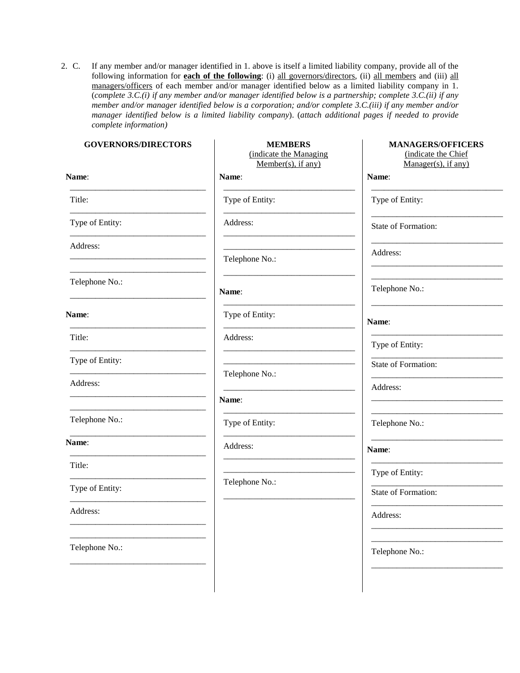2. C. If any member and/or manager identified in 1. above is itself a limited liability company, provide all of the following information for **each of the following**: (i) all governors/directors, (ii) all members and (iii) all managers/officers of each member and/or manager identified below as a limited liability company in 1. (*complete 3.C.(i) if any member and/or manager identified below is a partnership; complete 3.C.(ii) if any member and/or manager identified below is a corporation; and/or complete 3.C.(iii) if any member and/or manager identified below is a limited liability company*). (*attach additional pages if needed to provide complete information)*

| <b>GOVERNORS/DIRECTORS</b> | <b>MEMBERS</b><br>(indicate the Managing<br>$Member(s)$ , if any) | <b>MANAGERS/OFFICERS</b><br>(indicate the Chief<br>Manager(s), if any) |
|----------------------------|-------------------------------------------------------------------|------------------------------------------------------------------------|
| Name:                      | Name:                                                             | Name:                                                                  |
| Title:                     | Type of Entity:                                                   | Type of Entity:                                                        |
| Type of Entity:            | Address:                                                          | State of Formation:                                                    |
| Address:                   | Telephone No.:                                                    | Address:                                                               |
| Telephone No.:             | Name:                                                             | Telephone No.:                                                         |
| Name:                      | Type of Entity:                                                   | Name:                                                                  |
| Title:                     | Address:                                                          | Type of Entity:                                                        |
| Type of Entity:            |                                                                   | State of Formation:                                                    |
| Address:                   | Telephone No.:                                                    | Address:                                                               |
|                            | Name:                                                             |                                                                        |
| Telephone No.:             | Type of Entity:                                                   | Telephone No.:                                                         |
| Name:                      | Address:                                                          | Name:                                                                  |
| Title:                     |                                                                   | Type of Entity:                                                        |
| Type of Entity:            | Telephone No.:                                                    | State of Formation:                                                    |
| Address:                   |                                                                   | Address:                                                               |
| Telephone No.:             |                                                                   | Telephone No.:                                                         |
|                            |                                                                   |                                                                        |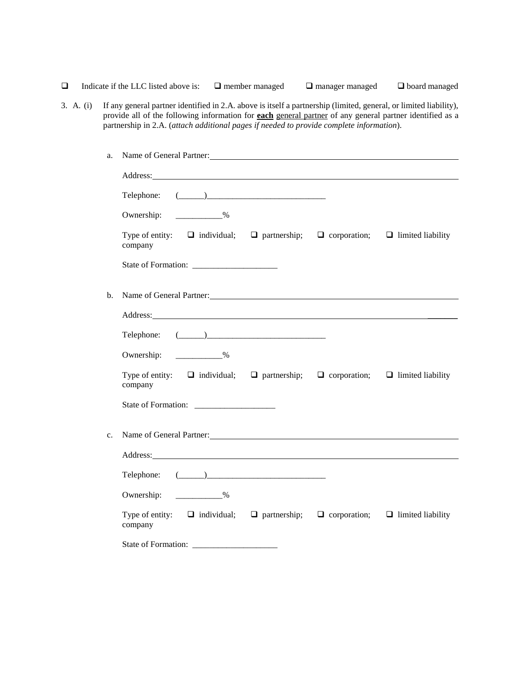$\Box$  Indicate if the LLC listed above is:  $\Box$  member managed  $\Box$  manager managed  $\Box$  board managed

3. A. (i) If any general partner identified in 2.A. above is itself a partnership (limited, general, or limited liability), provide all of the following information for **each** general partner of any general partner identified as a partnership in 2.A. (*attach additional pages if needed to provide complete information*).

| a. | Name of General Partner: 1988 and 2008 and 2008 and 2008 and 2008 and 2008 and 2008 and 2008 and 2008 and 2008 and 2008 and 2008 and 2008 and 2008 and 2008 and 2008 and 2008 and 2008 and 2008 and 2008 and 2008 and 2008 and                                                                                                                                                    |  |  |
|----|-----------------------------------------------------------------------------------------------------------------------------------------------------------------------------------------------------------------------------------------------------------------------------------------------------------------------------------------------------------------------------------|--|--|
|    | Address: No. 2014 19:30 No. 2014 19:30 No. 2014 19:30 No. 2014 19:30 No. 2014 19:30 No. 2014 19:30 No. 2014 19:30 No. 2014 19:30 No. 2014 19:30 No. 2014 19:30 No. 2014 19:30 No. 2014 19:30 No. 2014 19:30 No. 2014 19:30 No.                                                                                                                                                    |  |  |
|    | Telephone:<br>$\begin{picture}(20,10) \put(0,0){\vector(1,0){100}} \put(15,0){\vector(1,0){100}} \put(15,0){\vector(1,0){100}} \put(15,0){\vector(1,0){100}} \put(15,0){\vector(1,0){100}} \put(15,0){\vector(1,0){100}} \put(15,0){\vector(1,0){100}} \put(15,0){\vector(1,0){100}} \put(15,0){\vector(1,0){100}} \put(15,0){\vector(1,0){100}} \put(15,0){\vector(1,0){100}} \$ |  |  |
|    | $\%$<br>Ownership:                                                                                                                                                                                                                                                                                                                                                                |  |  |
|    | Type of entity: $\Box$ individual; $\Box$ partnership; $\Box$ corporation; $\Box$ limited liability<br>company                                                                                                                                                                                                                                                                    |  |  |
|    |                                                                                                                                                                                                                                                                                                                                                                                   |  |  |
| b. | Name of General Partner: 1988 and 2008 and 2008 and 2008 and 2008 and 2008 and 2008 and 2008 and 2008 and 2008 and 2008 and 2008 and 2008 and 2008 and 2008 and 2008 and 2008 and 2008 and 2008 and 2008 and 2008 and 2008 and                                                                                                                                                    |  |  |
|    |                                                                                                                                                                                                                                                                                                                                                                                   |  |  |
|    | Address: <u>Address:</u> Address: Address: Address: Address: Address: Address: Address: Address: Address: Address: Address: Address: Address: Address: Address: Address: Address: Address: Address: Address: Address: Address: Addr                                                                                                                                               |  |  |
|    | Telephone: $(\_\_)$                                                                                                                                                                                                                                                                                                                                                               |  |  |
|    | Ownership: _____________%                                                                                                                                                                                                                                                                                                                                                         |  |  |
|    | Type of entity: $\Box$ individual; $\Box$ partnership; $\Box$ corporation; $\Box$ limited liability<br>company                                                                                                                                                                                                                                                                    |  |  |
|    |                                                                                                                                                                                                                                                                                                                                                                                   |  |  |
| c. | Name of General Partner:                                                                                                                                                                                                                                                                                                                                                          |  |  |
|    |                                                                                                                                                                                                                                                                                                                                                                                   |  |  |
|    |                                                                                                                                                                                                                                                                                                                                                                                   |  |  |
|    | Telephone: $(\_\_)$                                                                                                                                                                                                                                                                                                                                                               |  |  |
|    | Ownership: _____________%                                                                                                                                                                                                                                                                                                                                                         |  |  |
|    | Type of entity: $\Box$ individual; $\Box$ partnership; $\Box$ corporation; $\Box$ limited liability<br>company                                                                                                                                                                                                                                                                    |  |  |
|    |                                                                                                                                                                                                                                                                                                                                                                                   |  |  |
|    |                                                                                                                                                                                                                                                                                                                                                                                   |  |  |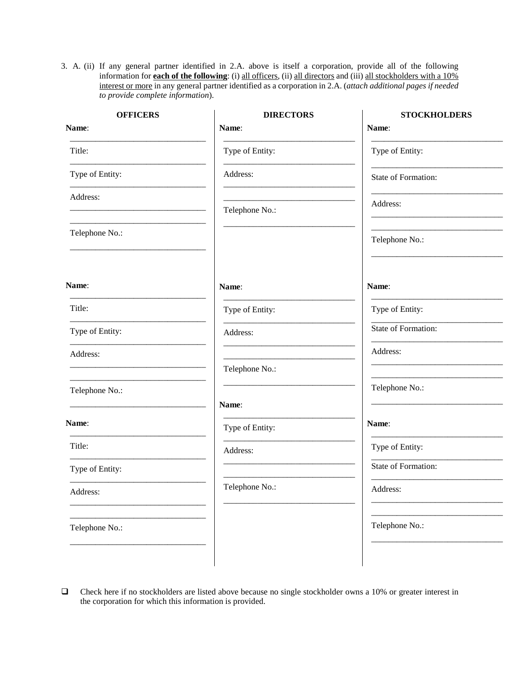3. A. (ii) If any general partner identified in 2.A. above is itself a corporation, provide all of the following information for **each of the following**: (i) all officers, (ii) all directors and (iii) all stockholders with a 10% interest or more in any general partner identified as a corporation in 2.A. (*attach additional pages if needed to provide complete information*).

| <b>OFFICERS</b> | <b>DIRECTORS</b>         | <b>STOCKHOLDERS</b> |
|-----------------|--------------------------|---------------------|
| Name:           | Name:                    | Name:               |
| Title:          | Type of Entity:          | Type of Entity:     |
| Type of Entity: | Address:                 | State of Formation: |
| Address:        | Telephone No.:           | Address:            |
| Telephone No.:  |                          | Telephone No.:      |
| Name:           | Name:                    | Name:               |
| Title:          | Type of Entity:          | Type of Entity:     |
| Type of Entity: | Address:                 | State of Formation: |
| Address:        | Telephone No.:           | Address:            |
| Telephone No.:  |                          | Telephone No.:      |
| Name:           | Name:<br>Type of Entity: | Name:               |
| Title:          | Address:                 | Type of Entity:     |
| Type of Entity: |                          | State of Formation: |
| Address:        | Telephone No.:           | Address:            |
| Telephone No.:  |                          | Telephone No.:      |
|                 |                          |                     |

 Check here if no stockholders are listed above because no single stockholder owns a 10% or greater interest in the corporation for which this information is provided.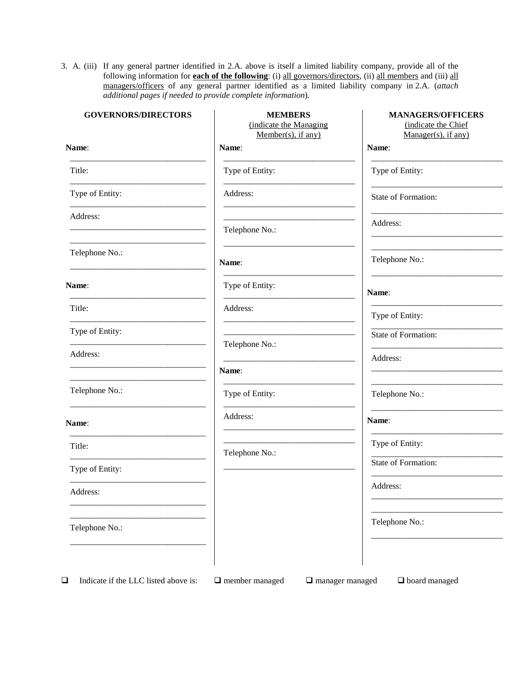3. A. (iii) If any general partner identified in 2.A. above is itself a limited liability company, provide all of the following information for **each of the following**: (i) all governors/directors, (ii) all members and (iii) all managers/officers of any general partner identified as a limited liability company in 2.A. (*attach additional pages if needed to provide complete information*).

| <b>GOVERNORS/DIRECTORS</b> | <b>MEMBERS</b><br>(indicate the Managing<br>$Member(s)$ , if any) | <b>MANAGERS/OFFICERS</b><br>(indicate the Chief<br>$Manager(s)$ , if any) |
|----------------------------|-------------------------------------------------------------------|---------------------------------------------------------------------------|
| Name:                      | Name:                                                             | Name:                                                                     |
| Title:                     | Type of Entity:                                                   | Type of Entity:                                                           |
| Type of Entity:            | Address:                                                          | State of Formation:                                                       |
| Address:                   | Telephone No.:                                                    | Address:                                                                  |
| Telephone No.:             | Name:                                                             | Telephone No.:                                                            |
| Name:                      | Type of Entity:                                                   | Name:                                                                     |
| Title:                     | Address:                                                          | Type of Entity:                                                           |
| Type of Entity:            |                                                                   | State of Formation:                                                       |
| Address:                   | Telephone No.:                                                    | Address:                                                                  |
|                            | Name:                                                             |                                                                           |
| Telephone No.:             | Type of Entity:                                                   | Telephone No.:                                                            |
| Name:                      | Address:                                                          | Name:                                                                     |
| Title:                     | Telephone No.:                                                    | Type of Entity:                                                           |
| Type of Entity:            |                                                                   | State of Formation:                                                       |
| Address:                   |                                                                   | Address:                                                                  |
| Telephone No.:             |                                                                   | Telephone No.:                                                            |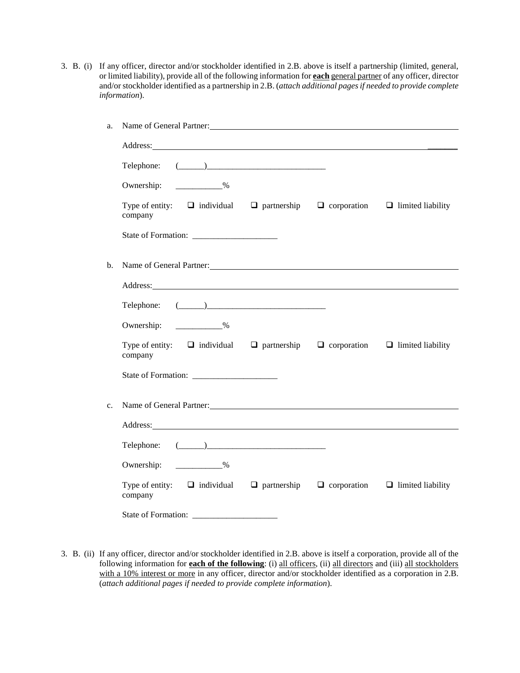3. B. (i) If any officer, director and/or stockholder identified in 2.B. above is itself a partnership (limited, general, or limited liability), provide all of the following information for **each** general partner of any officer, director and/or stockholder identified as a partnership in 2.B. (*attach additional pages if needed to provide complete information*).

| a.             | Name of General Partner: 1999 and 2009 and 2009 and 2009 and 2009 and 2009 and 2009 and 2009 and 2009 and 2009 and 2009 and 2009 and 2009 and 2009 and 2009 and 2009 and 2009 and 2009 and 2009 and 2009 and 2009 and 2009 and       |  |
|----------------|--------------------------------------------------------------------------------------------------------------------------------------------------------------------------------------------------------------------------------------|--|
|                | Address: <u>Address</u> : Address: Address: Address: Address: Address: Address: Address: Address: Address: Address: Address: Address: Address: Address: Address: Address: Address: Address: Address: Address: Address: Address: Addr |  |
|                | Telephone: $(\_\_)$                                                                                                                                                                                                                  |  |
|                | Ownership: 2008                                                                                                                                                                                                                      |  |
|                | Type of entity: $\Box$ individual $\Box$ partnership $\Box$ corporation $\Box$ limited liability<br>company                                                                                                                          |  |
|                |                                                                                                                                                                                                                                      |  |
| b.             | Name of General Partner: 1988 and 2008 and 2008 and 2008 and 2008 and 2008 and 2008 and 2008 and 2008 and 2008 and 2008 and 2008 and 2008 and 2008 and 2008 and 2008 and 2008 and 2008 and 2008 and 2008 and 2008 and 2008 and       |  |
|                | Address: Note that the contract of the contract of the contract of the contract of the contract of the contract of the contract of the contract of the contract of the contract of the contract of the contract of the contrac       |  |
|                | Telephone: $(\_\_)$                                                                                                                                                                                                                  |  |
|                | Ownership: 2008                                                                                                                                                                                                                      |  |
|                | Type of entity: $\Box$ individual $\Box$ partnership $\Box$ corporation $\Box$ limited liability<br>company                                                                                                                          |  |
|                |                                                                                                                                                                                                                                      |  |
| $\mathbf{c}$ . | Name of General Partner:                                                                                                                                                                                                             |  |
|                | Address: Note that the contract of the contract of the contract of the contract of the contract of the contract of the contract of the contract of the contract of the contract of the contract of the contract of the contrac       |  |
|                | Telephone: $(\_\_)$                                                                                                                                                                                                                  |  |
|                | Ownership: ____________%                                                                                                                                                                                                             |  |
|                | Type of entity: $\Box$ individual $\Box$ partnership $\Box$ corporation $\Box$ limited liability<br>company                                                                                                                          |  |
|                |                                                                                                                                                                                                                                      |  |

3. B. (ii) If any officer, director and/or stockholder identified in 2.B. above is itself a corporation, provide all of the following information for **each of the following**: (i) all officers, (ii) all directors and (iii) all stockholders with a 10% interest or more in any officer, director and/or stockholder identified as a corporation in 2.B. (*attach additional pages if needed to provide complete information*).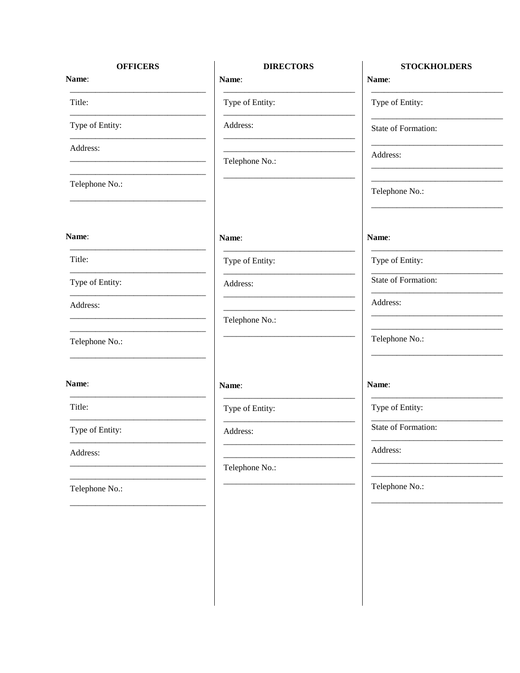# **OFFICERS**

Name:

Title:

Type of Entity:

Address:

Telephone No.:

#### Name:

Title:

Type of Entity:

Address:

Telephone No.:

Name:

Title:

Type of Entity:

Address:

Telephone No.:

## **DIRECTORS**

Name:

Type of Entity:

Address:

Telephone No.:

Name:

Type of Entity:

Address:

Telephone No.:

Name:

Type of Entity:

Address:

Telephone No.:

## **STOCKHOLDERS** Name:

Type of Entity:

State of Formation:

Address:

Telephone No.:

Name:

Type of Entity:

State of Formation:

Address:

Telephone No.:

Name:

Type of Entity:

State of Formation:

Address:

Telephone No.: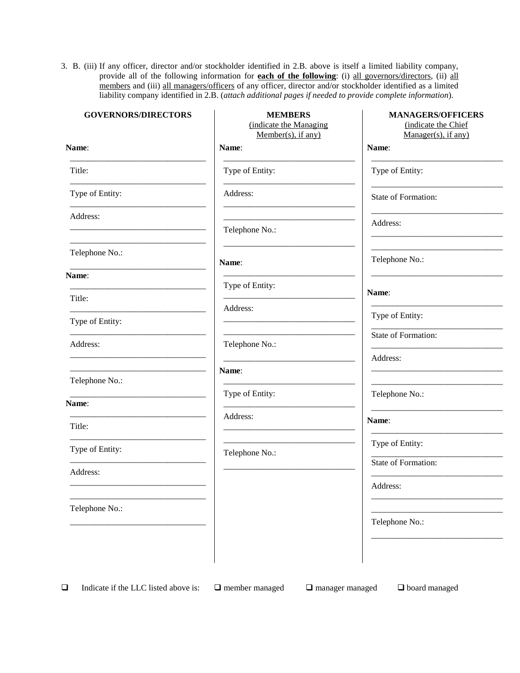3. B. (iii) If any officer, director and/or stockholder identified in 2.B. above is itself a limited liability company, provide all of the following information for **each of the following**: (i) all governors/directors, (ii) all members and (iii) all managers/officers of any officer, director and/or stockholder identified as a limited liability company identified in 2.B. (*attach additional pages if needed to provide complete information*).

| <b>GOVERNORS/DIRECTORS</b> | <b>MEMBERS</b><br>(indicate the Managing<br>Member(s), if any) | <b>MANAGERS/OFFICERS</b><br>(indicate the Chief<br>$Manager(s)$ , if any) |
|----------------------------|----------------------------------------------------------------|---------------------------------------------------------------------------|
| Name:                      | Name:                                                          | Name:                                                                     |
| Title:                     | Type of Entity:                                                | Type of Entity:                                                           |
| Type of Entity:            | Address:                                                       | <b>State of Formation:</b>                                                |
| Address:                   | Telephone No.:                                                 | Address:                                                                  |
| Telephone No.:             | Name:                                                          | Telephone No.:                                                            |
| Name:                      | Type of Entity:                                                |                                                                           |
| Title:                     |                                                                | Name:                                                                     |
| Type of Entity:            | Address:                                                       | Type of Entity:                                                           |
| Address:                   | Telephone No.:                                                 | <b>State of Formation:</b>                                                |
|                            |                                                                | Address:                                                                  |
| Telephone No.:             | Name:                                                          |                                                                           |
| Name:                      | Type of Entity:                                                | Telephone No.:                                                            |
| Title:                     | Address:                                                       | Name:                                                                     |
|                            |                                                                | Type of Entity:                                                           |
| Type of Entity:            | Telephone No.:                                                 | State of Formation:                                                       |
| Address:                   |                                                                | Address:                                                                  |
|                            |                                                                |                                                                           |
| Telephone No.:             |                                                                | Telephone No.:                                                            |
|                            |                                                                |                                                                           |

**Indicate if the LLC listed above is:**  $\Box$  member managed  $\Box$  manager managed  $\Box$  board managed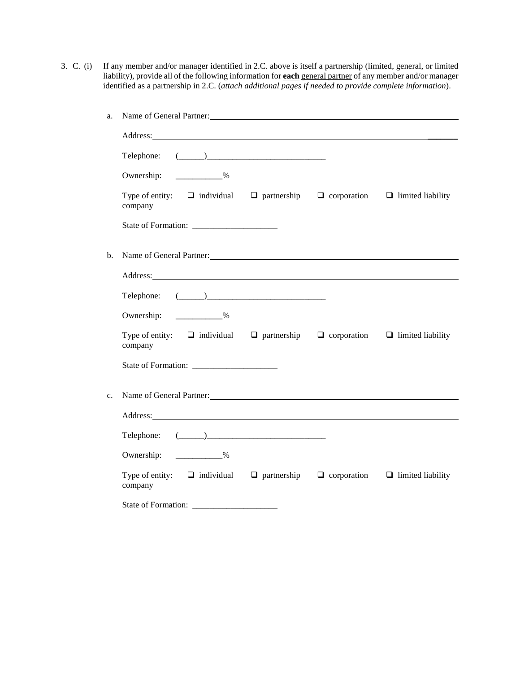3. C. (i) If any member and/or manager identified in 2.C. above is itself a partnership (limited, general, or limited liability), provide all of the following information for **each** general partner of any member and/or manager identified as a partnership in 2.C. (*attach additional pages if needed to provide complete information*).

| a.  | Name of General Partner:                                                                                                                                                                                                             |  |  |
|-----|--------------------------------------------------------------------------------------------------------------------------------------------------------------------------------------------------------------------------------------|--|--|
|     | Address: National Address: National Address: National Address: National Address: National Address: National Address: National Address: National Address: National Address: National Address: National Address: National Addres       |  |  |
|     | Telephone: $(\_\_)$                                                                                                                                                                                                                  |  |  |
|     | Ownership: ____________%                                                                                                                                                                                                             |  |  |
|     | Type of entity: $\Box$ individual $\Box$ partnership $\Box$ corporation $\Box$ limited liability<br>company                                                                                                                          |  |  |
|     |                                                                                                                                                                                                                                      |  |  |
| $b$ | Name of General Partner: Name of General Partner:                                                                                                                                                                                    |  |  |
|     | Address: Address:                                                                                                                                                                                                                    |  |  |
|     | Telephone: $(\_\_)$                                                                                                                                                                                                                  |  |  |
|     | Ownership: ____________%                                                                                                                                                                                                             |  |  |
|     | Type of entity: $\Box$ individual $\Box$ partnership $\Box$ corporation $\Box$ limited liability<br>company                                                                                                                          |  |  |
|     |                                                                                                                                                                                                                                      |  |  |
| c.  | Name of General Partner:                                                                                                                                                                                                             |  |  |
|     | Address: <u>The Community of the Community of the Community of the Community of the Community of the Community of the Community of the Community of the Community of the Community of the Community of the Community of the Comm</u> |  |  |
|     | Telephone: $(\_\_)$                                                                                                                                                                                                                  |  |  |
|     | Ownership: <u>____________%</u>                                                                                                                                                                                                      |  |  |
|     | Type of entity: $\Box$ individual $\Box$ partnership $\Box$ corporation $\Box$ limited liability<br>company                                                                                                                          |  |  |
|     |                                                                                                                                                                                                                                      |  |  |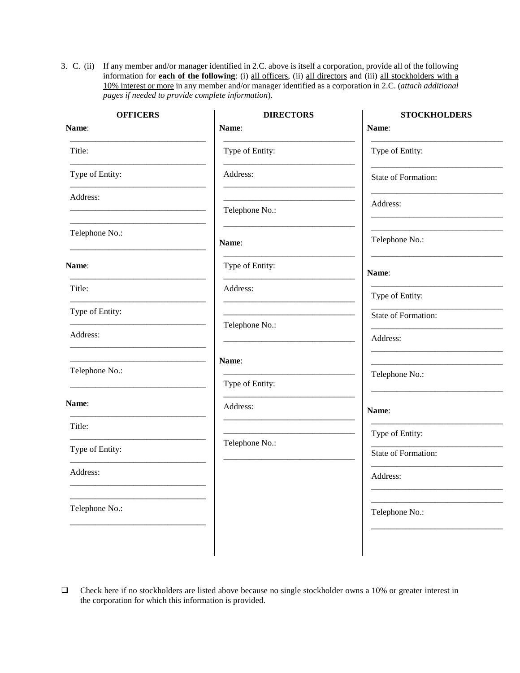3. C. (ii) If any member and/or manager identified in 2.C. above is itself a corporation, provide all of the following information for **each of the following**: (i) all officers, (ii) all directors and (iii) all stockholders with a 10% interest or more in any member and/or manager identified as a corporation in 2.C. (*attach additional pages if needed to provide complete information*).

| <b>OFFICERS</b> | <b>DIRECTORS</b> | <b>STOCKHOLDERS</b> |
|-----------------|------------------|---------------------|
| Name:           | Name:            | Name:               |
| Title:          | Type of Entity:  | Type of Entity:     |
| Type of Entity: | Address:         | State of Formation: |
| Address:        | Telephone No.:   | Address:            |
| Telephone No.:  | Name:            | Telephone No.:      |
| Name:           | Type of Entity:  | Name:               |
| Title:          | Address:         | Type of Entity:     |
| Type of Entity: |                  | State of Formation: |
| Address:        | Telephone No.:   | Address:            |
| Telephone No.:  | Name:            |                     |
|                 | Type of Entity:  | Telephone No.:      |
| Name:           | Address:         | Name:               |
| Title:          |                  | Type of Entity:     |
| Type of Entity: | Telephone No.:   | State of Formation: |
| Address:        |                  | Address:            |
| Telephone No.:  |                  | Telephone No.:      |
|                 |                  |                     |

 Check here if no stockholders are listed above because no single stockholder owns a 10% or greater interest in the corporation for which this information is provided.